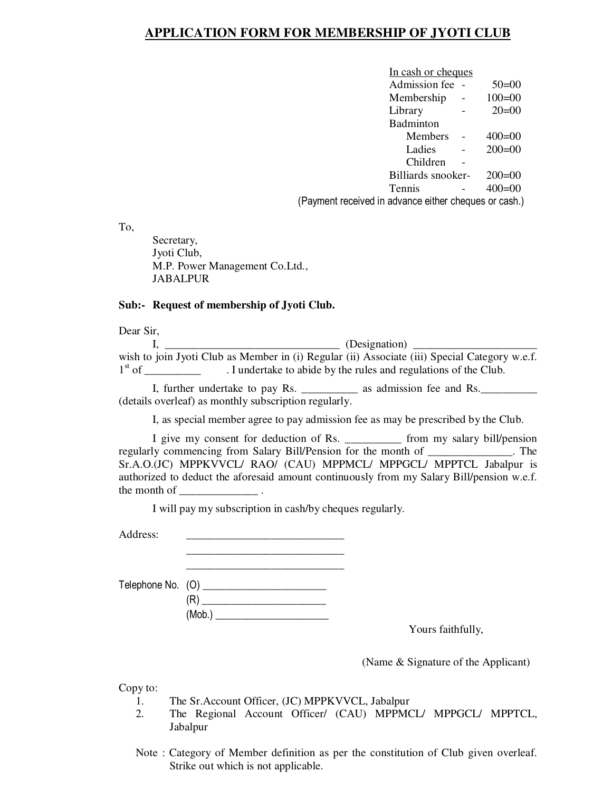# **APPLICATION FORM FOR MEMBERSHIP OF JYOTI CLUB**

|                                                       | In cash or cheques |          |
|-------------------------------------------------------|--------------------|----------|
|                                                       | Admission fee      | $50=00$  |
|                                                       | Membership         | $100=00$ |
|                                                       | Library            | $20=00$  |
|                                                       | Badminton          |          |
|                                                       | <b>Members</b>     | $400=00$ |
|                                                       | Ladies             | $200=00$ |
|                                                       | Children           |          |
|                                                       | Billiards snooker- | $200=00$ |
|                                                       | <b>Tennis</b>      | $400=00$ |
| (Payment received in advance either cheques or cash.) |                    |          |

To,

Secretary, Jyoti Club, M.P. Power Management Co.Ltd., JABALPUR

#### **Sub:- Request of membership of Jyoti Club.**

Dear Sir,

|          | (Designation) ______                                                                          |
|----------|-----------------------------------------------------------------------------------------------|
|          | wish to join Jyoti Club as Member in (i) Regular (ii) Associate (iii) Special Category w.e.f. |
| $1st$ of | . I undertake to abide by the rules and regulations of the Club.                              |

I, further undertake to pay Rs. \_\_\_\_\_\_\_\_\_\_\_ as admission fee and Rs. (details overleaf) as monthly subscription regularly.

I, as special member agree to pay admission fee as may be prescribed by the Club.

I give my consent for deduction of Rs. \_\_\_\_\_\_\_\_\_\_ from my salary bill/pension regularly commencing from Salary Bill/Pension for the month of \_\_\_\_\_\_\_\_\_\_\_\_\_\_\_. The Sr.A.O.(JC) MPPKVVCL/ RAO/ (CAU) MPPMCL/ MPPGCL/ MPPTCL Jabalpur is authorized to deduct the aforesaid amount continuously from my Salary Bill/pension w.e.f. the month of  $\blacksquare$ 

I will pay my subscription in cash/by cheques regularly.

Address:

 $\overline{\phantom{a}}$  ,  $\overline{\phantom{a}}$  ,  $\overline{\phantom{a}}$  ,  $\overline{\phantom{a}}$  ,  $\overline{\phantom{a}}$  ,  $\overline{\phantom{a}}$  ,  $\overline{\phantom{a}}$  ,  $\overline{\phantom{a}}$  ,  $\overline{\phantom{a}}$  ,  $\overline{\phantom{a}}$  ,  $\overline{\phantom{a}}$  ,  $\overline{\phantom{a}}$  ,  $\overline{\phantom{a}}$  ,  $\overline{\phantom{a}}$  ,  $\overline{\phantom{a}}$  ,  $\overline{\phantom{a}}$ Telephone No. (O) \_\_\_\_\_\_\_\_\_\_\_\_\_\_\_\_\_\_\_\_\_\_ (R) \_\_\_\_\_\_\_\_\_\_\_\_\_\_\_\_\_\_\_\_\_\_ (Mob.) \_\_\_\_\_\_\_\_\_\_\_\_\_\_\_\_\_\_\_\_\_\_

Yours faithfully,

(Name & Signature of the Applicant)

Copy to:

- 1. The Sr.Account Officer, (JC) MPPKVVCL, Jabalpur
- 2. The Regional Account Officer/ (CAU) MPPMCL/ MPPGCL/ MPPTCL, Jabalpur
- Note : Category of Member definition as per the constitution of Club given overleaf. Strike out which is not applicable.